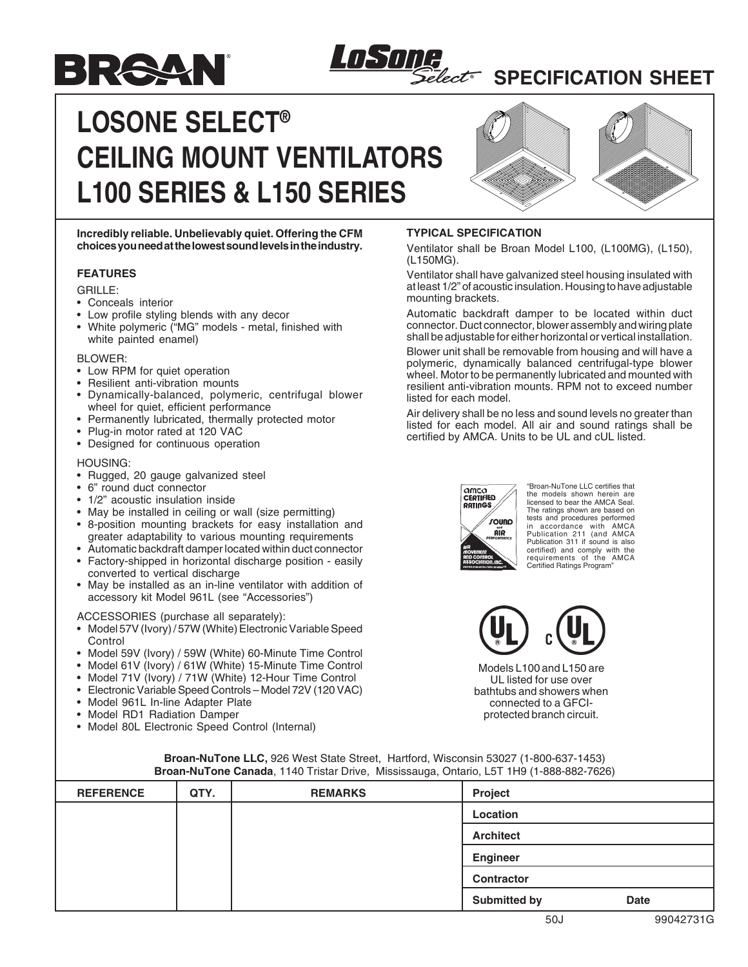## **SPECIFICATION SHEET**

# **LOSONE SELECT® CEILING MOUNT VENTILATORS L100 SERIES & L150 SERIES**

LOSTI



**Incredibly reliable. Unbelievably quiet. Offering the CFM choices you need at the lowest sound levels in the industry.**

#### **FEATURES**

GRILLE:

• Conceals interior

BRAAN

- Low profile styling blends with any decor
- White polymeric ("MG" models metal, finished with white painted enamel)

BLOWER:

- Low RPM for quiet operation
- Resilient anti-vibration mounts
- Dynamically-balanced, polymeric, centrifugal blower wheel for quiet, efficient performance
- Permanently lubricated, thermally protected motor
- Plug-in motor rated at 120 VAC
- Designed for continuous operation

#### HOUSING:

- Rugged, 20 gauge galvanized steel
- 6" round duct connector
- 1/2" acoustic insulation inside
- May be installed in ceiling or wall (size permitting)
- 8-position mounting brackets for easy installation and greater adaptability to various mounting requirements
- Automatic backdraft damper located within duct connector
- Factory-shipped in horizontal discharge position easily converted to vertical discharge
- May be installed as an in-line ventilator with addition of accessory kit Model 961L (see "Accessories")

ACCESSORIES (purchase all separately):

- Model 57V (Ivory) / 57W (White) Electronic Variable Speed Control
- Model 59V (Ivory) / 59W (White) 60-Minute Time Control
- Model 61V (Ivory) / 61W (White) 15-Minute Time Control
- Model 71V (Ivory) / 71W (White) 12-Hour Time Control
- Electronic Variable Speed Controls Model 72V (120 VAC)
- Model 961L In-line Adapter Plate
- Model RD1 Radiation Damper
- Model 80L Electronic Speed Control (Internal)



lect

Ventilator shall be Broan Model L100, (L100MG), (L150), (L150MG).

Ventilator shall have galvanized steel housing insulated with at least 1/2" of acoustic insulation. Housing to have adjustable mounting brackets.

Automatic backdraft damper to be located within duct connector. Duct connector, blower assembly and wiring plate shall be adjustable for either horizontal or vertical installation.

Blower unit shall be removable from housing and will have a polymeric, dynamically balanced centrifugal-type blower wheel. Motor to be permanently lubricated and mounted with resilient anti-vibration mounts. RPM not to exceed number listed for each model.

Air delivery shall be no less and sound levels no greater than listed for each model. All air and sound ratings shall be certified by AMCA. Units to be UL and cUL listed.



"Broan-NuTone LLC certifies that the models shown herein are licensed to bear the AMCA Seal. The ratings shown are based on tests and procedures performed in accordance with AMCA Publication 211 (and AMCA Publication 311 if sound is also certified) and comply with the requirements of the AMCA Certified Ratings Program"



Models L100 and L150 are UL listed for use over bathtubs and showers when connected to a GFCIprotected branch circuit.

| <b>REFERENCE</b> | QTY. | <b>REMARKS</b> | Project             |             |
|------------------|------|----------------|---------------------|-------------|
|                  |      |                | Location            |             |
|                  |      |                | <b>Architect</b>    |             |
|                  |      |                | <b>Engineer</b>     |             |
|                  |      |                | <b>Contractor</b>   |             |
|                  |      |                | <b>Submitted by</b> | <b>Date</b> |

#### **Broan-NuTone LLC,** 926 West State Street, Hartford, Wisconsin 53027 (1-800-637-1453) **Broan-NuTone Canada**, 1140 Tristar Drive, Mississauga, Ontario, L5T 1H9 (1-888-882-7626)